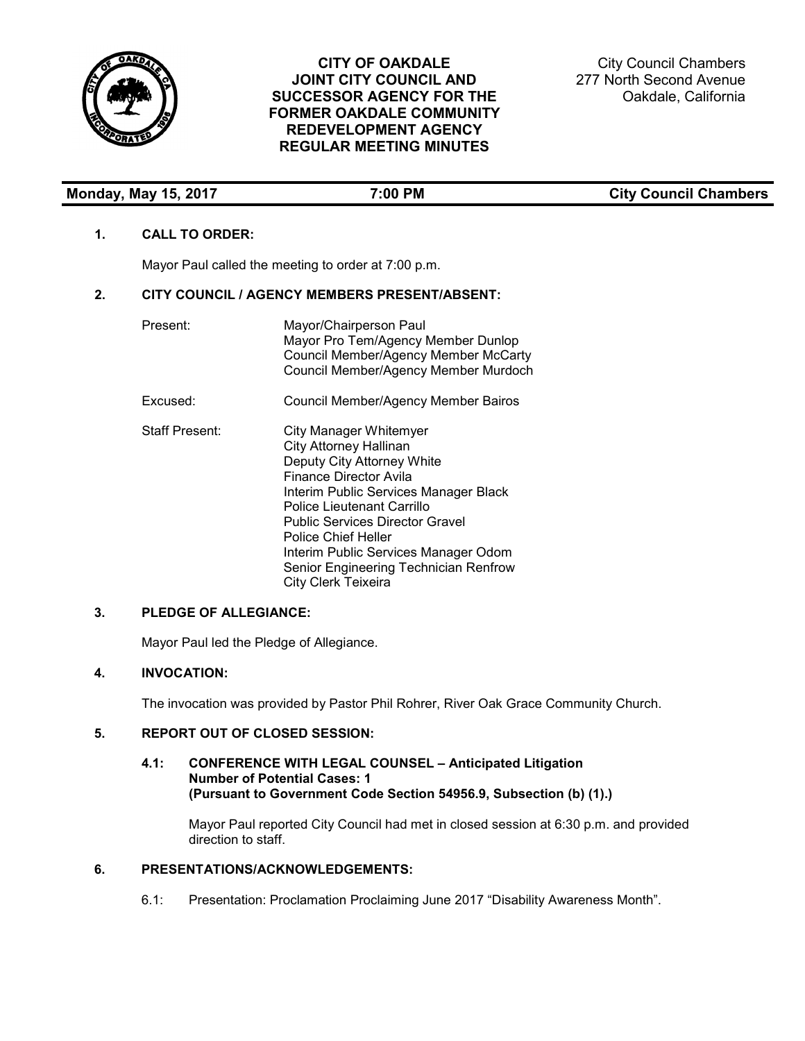

# **CITY OF OAKDALE JOINT CITY COUNCIL AND SUCCESSOR AGENCY FOR THE FORMER OAKDALE COMMUNITY REDEVELOPMENT AGENCY REGULAR MEETING MINUTES**

City Council Chambers 277 North Second Avenue Oakdale, California

| <b>Monday, May 15, 2017</b> | 7:00 PM | <b>City Council Chambers</b> |
|-----------------------------|---------|------------------------------|

### **1. CALL TO ORDER:**

Mayor Paul called the meeting to order at 7:00 p.m.

## **2. CITY COUNCIL / AGENCY MEMBERS PRESENT/ABSENT:**

| Present:              | Mayor/Chairperson Paul<br>Mayor Pro Tem/Agency Member Dunlop<br><b>Council Member/Agency Member McCarty</b><br>Council Member/Agency Member Murdoch                                                                                                                                                                                                      |
|-----------------------|----------------------------------------------------------------------------------------------------------------------------------------------------------------------------------------------------------------------------------------------------------------------------------------------------------------------------------------------------------|
| Excused:              | Council Member/Agency Member Bairos                                                                                                                                                                                                                                                                                                                      |
| <b>Staff Present:</b> | City Manager Whitemyer<br><b>City Attorney Hallinan</b><br>Deputy City Attorney White<br>Finance Director Avila<br>Interim Public Services Manager Black<br>Police Lieutenant Carrillo<br>Public Services Director Gravel<br>Police Chief Heller<br>Interim Public Services Manager Odom<br>Senior Engineering Technician Renfrow<br>City Clerk Teixeira |

# **3. PLEDGE OF ALLEGIANCE:**

Mayor Paul led the Pledge of Allegiance.

# **4. INVOCATION:**

The invocation was provided by Pastor Phil Rohrer, River Oak Grace Community Church.

### **5. REPORT OUT OF CLOSED SESSION:**

#### **4.1: CONFERENCE WITH LEGAL COUNSEL – Anticipated Litigation Number of Potential Cases: 1 (Pursuant to Government Code Section 54956.9, Subsection (b) (1).)**

Mayor Paul reported City Council had met in closed session at 6:30 p.m. and provided direction to staff.

# **6. PRESENTATIONS/ACKNOWLEDGEMENTS:**

6.1: Presentation: Proclamation Proclaiming June 2017 "Disability Awareness Month".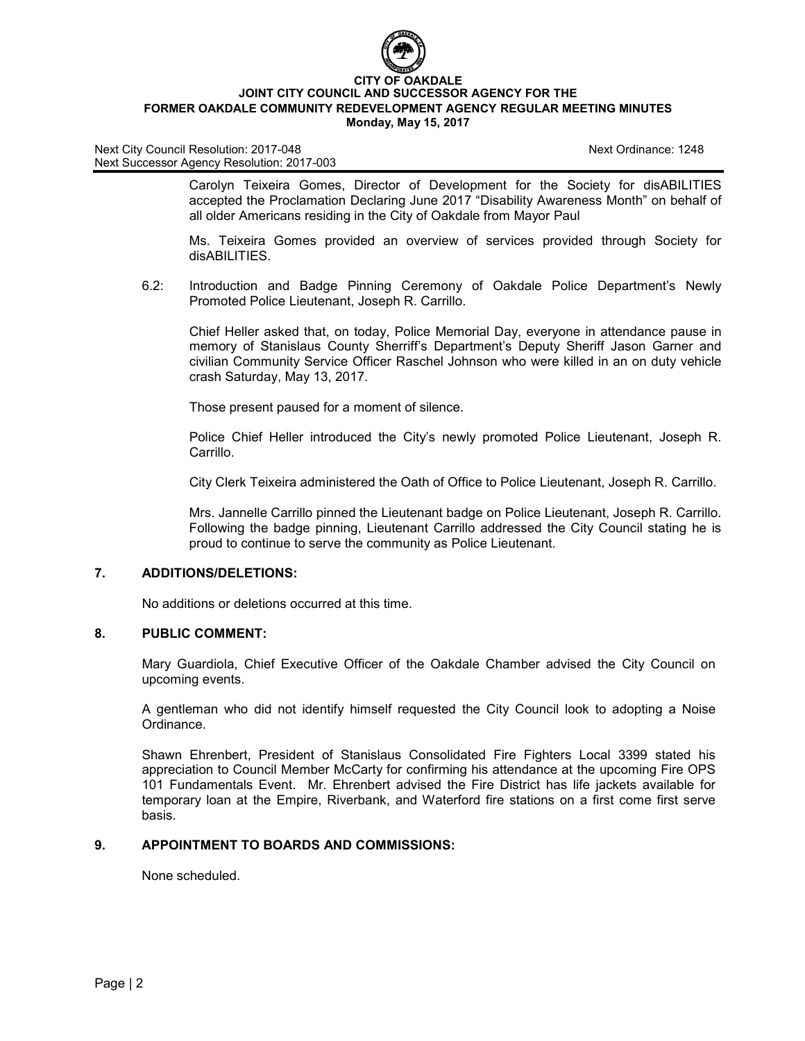

Carolyn Teixeira Gomes, Director of Development for the Society for disABILITIES accepted the Proclamation Declaring June 2017 "Disability Awareness Month" on behalf of all older Americans residing in the City of Oakdale from Mayor Paul

Ms. Teixeira Gomes provided an overview of services provided through Society for disABILITIES.

6.2: Introduction and Badge Pinning Ceremony of Oakdale Police Department's Newly Promoted Police Lieutenant, Joseph R. Carrillo.

Chief Heller asked that, on today, Police Memorial Day, everyone in attendance pause in memory of Stanislaus County Sherriff's Department's Deputy Sheriff Jason Garner and civilian Community Service Officer Raschel Johnson who were killed in an on duty vehicle crash Saturday, May 13, 2017.

Those present paused for a moment of silence.

Police Chief Heller introduced the City's newly promoted Police Lieutenant, Joseph R. Carrillo.

City Clerk Teixeira administered the Oath of Office to Police Lieutenant, Joseph R. Carrillo.

Mrs. Jannelle Carrillo pinned the Lieutenant badge on Police Lieutenant, Joseph R. Carrillo. Following the badge pinning, Lieutenant Carrillo addressed the City Council stating he is proud to continue to serve the community as Police Lieutenant.

#### **7. ADDITIONS/DELETIONS:**

No additions or deletions occurred at this time.

#### **8. PUBLIC COMMENT:**

Mary Guardiola, Chief Executive Officer of the Oakdale Chamber advised the City Council on upcoming events.

A gentleman who did not identify himself requested the City Council look to adopting a Noise Ordinance.

Shawn Ehrenbert, President of Stanislaus Consolidated Fire Fighters Local 3399 stated his appreciation to Council Member McCarty for confirming his attendance at the upcoming Fire OPS 101 Fundamentals Event. Mr. Ehrenbert advised the Fire District has life jackets available for temporary loan at the Empire, Riverbank, and Waterford fire stations on a first come first serve basis.

## **9. APPOINTMENT TO BOARDS AND COMMISSIONS:**

None scheduled.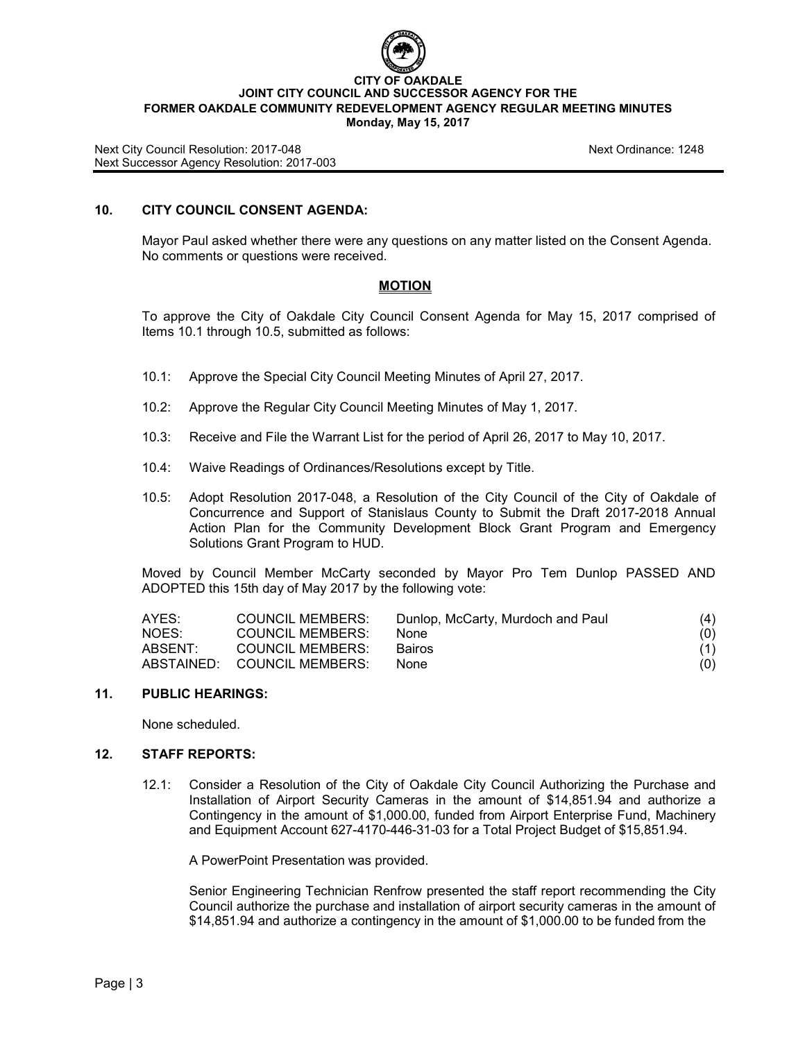

#### **CITY OF OAKDALE JOINT CITY COUNCIL AND SUCCESSOR AGENCY FOR THE FORMER OAKDALE COMMUNITY REDEVELOPMENT AGENCY REGULAR MEETING MINUTES Monday, May 15, 2017**

Next City Council Resolution: 2017-048 Next Ordinance: 1248 Next Successor Agency Resolution: 2017-003

# **10. CITY COUNCIL CONSENT AGENDA:**

Mayor Paul asked whether there were any questions on any matter listed on the Consent Agenda. No comments or questions were received.

#### **MOTION**

To approve the City of Oakdale City Council Consent Agenda for May 15, 2017 comprised of Items 10.1 through 10.5, submitted as follows:

- 10.1: Approve the Special City Council Meeting Minutes of April 27, 2017.
- 10.2: Approve the Regular City Council Meeting Minutes of May 1, 2017.
- 10.3: Receive and File the Warrant List for the period of April 26, 2017 to May 10, 2017.
- 10.4: Waive Readings of Ordinances/Resolutions except by Title.
- 10.5: Adopt Resolution 2017-048, a Resolution of the City Council of the City of Oakdale of Concurrence and Support of Stanislaus County to Submit the Draft 2017-2018 Annual Action Plan for the Community Development Block Grant Program and Emergency Solutions Grant Program to HUD.

Moved by Council Member McCarty seconded by Mayor Pro Tem Dunlop PASSED AND ADOPTED this 15th day of May 2017 by the following vote:

| AYES:   | <b>COUNCIL MEMBERS:</b>     | Dunlop, McCarty, Murdoch and Paul | (4) |
|---------|-----------------------------|-----------------------------------|-----|
| NOES:   | <b>COUNCIL MEMBERS:</b>     | <b>None</b>                       | (0) |
| ABSENT: | COUNCIL MEMBERS:            | <b>Bairos</b>                     | (1) |
|         | ABSTAINED: COUNCIL MEMBERS: | <b>None</b>                       | (0) |

#### **11. PUBLIC HEARINGS:**

None scheduled.

#### **12. STAFF REPORTS:**

12.1: Consider a Resolution of the City of Oakdale City Council Authorizing the Purchase and Installation of Airport Security Cameras in the amount of \$14,851.94 and authorize a Contingency in the amount of \$1,000.00, funded from Airport Enterprise Fund, Machinery and Equipment Account 627-4170-446-31-03 for a Total Project Budget of \$15,851.94.

A PowerPoint Presentation was provided.

Senior Engineering Technician Renfrow presented the staff report recommending the City Council authorize the purchase and installation of airport security cameras in the amount of \$14,851.94 and authorize a contingency in the amount of \$1,000.00 to be funded from the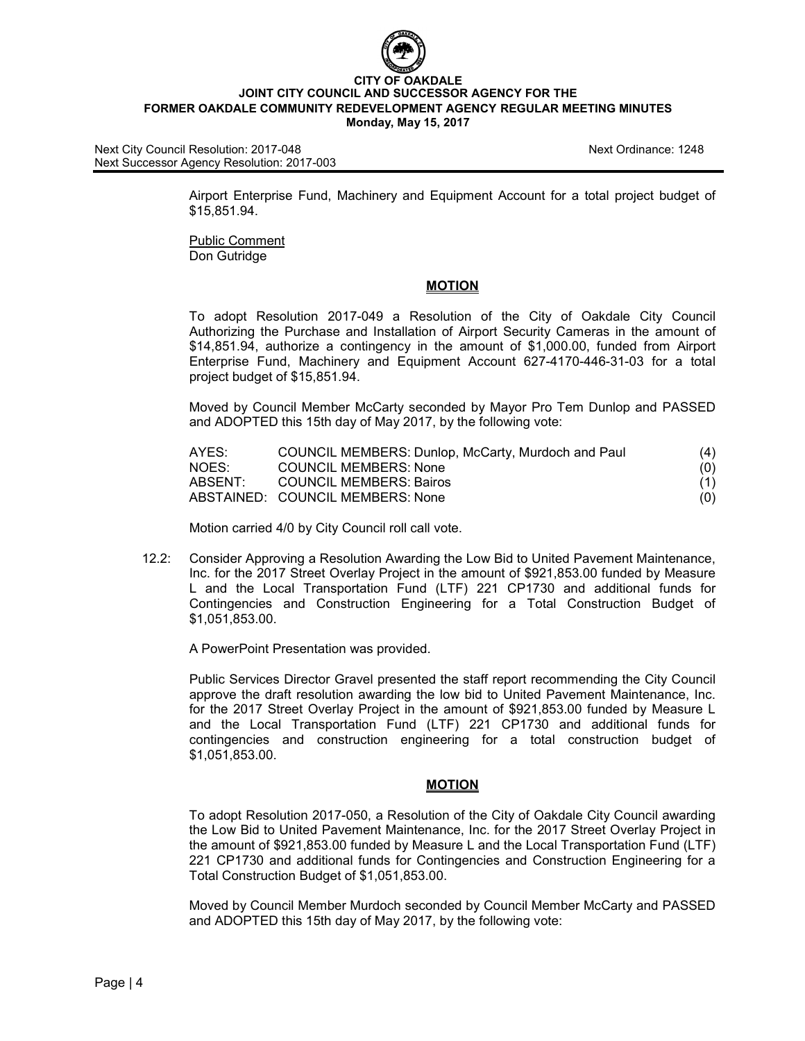

Next City Council Resolution: 2017-048 Next Ordinance: 1248 Next Successor Agency Resolution: 2017-003

Airport Enterprise Fund, Machinery and Equipment Account for a total project budget of \$15,851.94.

Public Comment Don Gutridge

#### **MOTION**

To adopt Resolution 2017-049 a Resolution of the City of Oakdale City Council Authorizing the Purchase and Installation of Airport Security Cameras in the amount of \$14,851.94, authorize a contingency in the amount of \$1,000.00, funded from Airport Enterprise Fund, Machinery and Equipment Account 627-4170-446-31-03 for a total project budget of \$15,851.94.

Moved by Council Member McCarty seconded by Mayor Pro Tem Dunlop and PASSED and ADOPTED this 15th day of May 2017, by the following vote:

| AYES:   | COUNCIL MEMBERS: Dunlop, McCarty, Murdoch and Paul | (4) |
|---------|----------------------------------------------------|-----|
| NOES:   | <b>COUNCIL MEMBERS: None</b>                       | (O) |
| ABSENT: | COUNCIL MEMBERS: Bairos                            | (1) |
|         | ABSTAINED: COUNCIL MEMBERS: None                   | (O) |

Motion carried 4/0 by City Council roll call vote.

12.2: Consider Approving a Resolution Awarding the Low Bid to United Pavement Maintenance, Inc. for the 2017 Street Overlay Project in the amount of \$921,853.00 funded by Measure L and the Local Transportation Fund (LTF) 221 CP1730 and additional funds for Contingencies and Construction Engineering for a Total Construction Budget of \$1,051,853.00.

A PowerPoint Presentation was provided.

Public Services Director Gravel presented the staff report recommending the City Council approve the draft resolution awarding the low bid to United Pavement Maintenance, Inc. for the 2017 Street Overlay Project in the amount of \$921,853.00 funded by Measure L and the Local Transportation Fund (LTF) 221 CP1730 and additional funds for contingencies and construction engineering for a total construction budget of \$1,051,853.00.

#### **MOTION**

To adopt Resolution 2017-050, a Resolution of the City of Oakdale City Council awarding the Low Bid to United Pavement Maintenance, Inc. for the 2017 Street Overlay Project in the amount of \$921,853.00 funded by Measure L and the Local Transportation Fund (LTF) 221 CP1730 and additional funds for Contingencies and Construction Engineering for a Total Construction Budget of \$1,051,853.00.

Moved by Council Member Murdoch seconded by Council Member McCarty and PASSED and ADOPTED this 15th day of May 2017, by the following vote: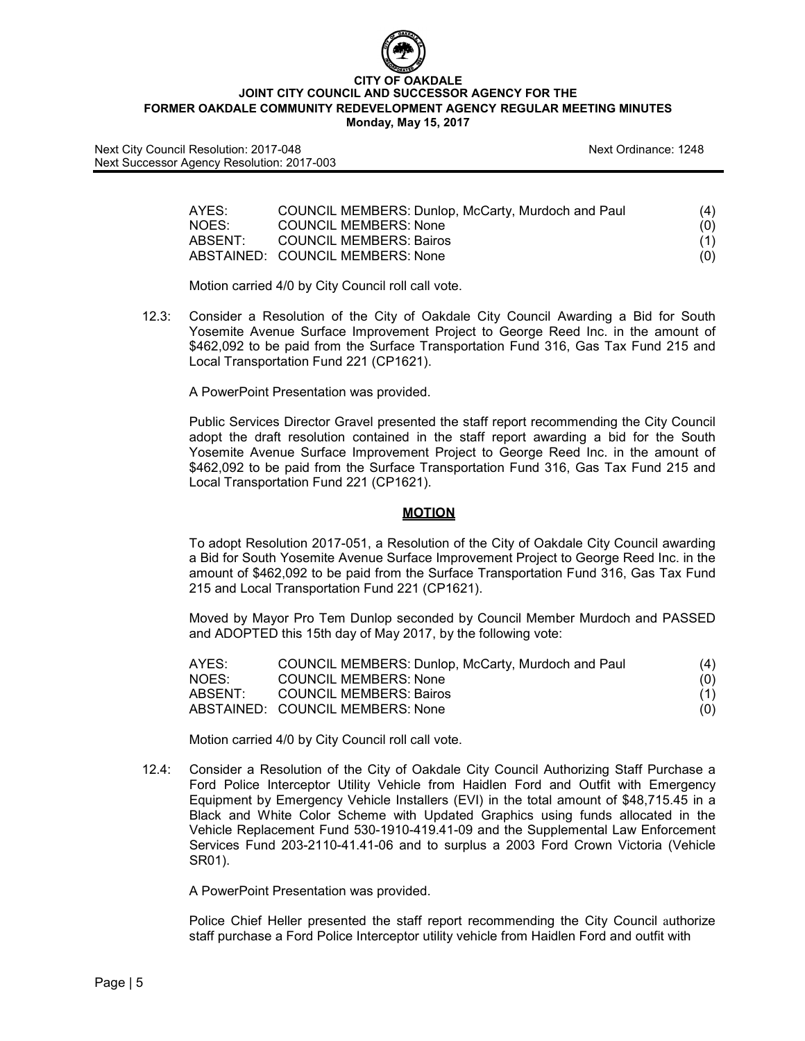

| AYES:   | COUNCIL MEMBERS: Dunlop, McCarty, Murdoch and Paul | (4) |
|---------|----------------------------------------------------|-----|
| NOES:   | <b>COUNCIL MEMBERS: None</b>                       | (0) |
| ABSENT: | COUNCIL MEMBERS: Bairos                            | (1) |
|         | ABSTAINED: COUNCIL MEMBERS: None                   | (O) |

Motion carried 4/0 by City Council roll call vote.

12.3: Consider a Resolution of the City of Oakdale City Council Awarding a Bid for South Yosemite Avenue Surface Improvement Project to George Reed Inc. in the amount of \$462,092 to be paid from the Surface Transportation Fund 316, Gas Tax Fund 215 and Local Transportation Fund 221 (CP1621).

A PowerPoint Presentation was provided.

Public Services Director Gravel presented the staff report recommending the City Council adopt the draft resolution contained in the staff report awarding a bid for the South Yosemite Avenue Surface Improvement Project to George Reed Inc. in the amount of \$462,092 to be paid from the Surface Transportation Fund 316, Gas Tax Fund 215 and Local Transportation Fund 221 (CP1621).

#### **MOTION**

To adopt Resolution 2017-051, a Resolution of the City of Oakdale City Council awarding a Bid for South Yosemite Avenue Surface Improvement Project to George Reed Inc. in the amount of \$462,092 to be paid from the Surface Transportation Fund 316, Gas Tax Fund 215 and Local Transportation Fund 221 (CP1621).

Moved by Mayor Pro Tem Dunlop seconded by Council Member Murdoch and PASSED and ADOPTED this 15th day of May 2017, by the following vote:

| AYES:   | COUNCIL MEMBERS: Dunlop, McCarty, Murdoch and Paul | (4) |
|---------|----------------------------------------------------|-----|
| NOES:   | <b>COUNCIL MEMBERS: None</b>                       | (0) |
| ABSENT: | <b>COUNCIL MEMBERS: Bairos</b>                     | (1) |
|         | ABSTAINED: COUNCIL MEMBERS: None                   | (O) |

Motion carried 4/0 by City Council roll call vote.

12.4: Consider a Resolution of the City of Oakdale City Council Authorizing Staff Purchase a Ford Police Interceptor Utility Vehicle from Haidlen Ford and Outfit with Emergency Equipment by Emergency Vehicle Installers (EVI) in the total amount of \$48,715.45 in a Black and White Color Scheme with Updated Graphics using funds allocated in the Vehicle Replacement Fund 530-1910-419.41-09 and the Supplemental Law Enforcement Services Fund 203-2110-41.41-06 and to surplus a 2003 Ford Crown Victoria (Vehicle SR01).

A PowerPoint Presentation was provided.

Police Chief Heller presented the staff report recommending the City Council authorize staff purchase a Ford Police Interceptor utility vehicle from Haidlen Ford and outfit with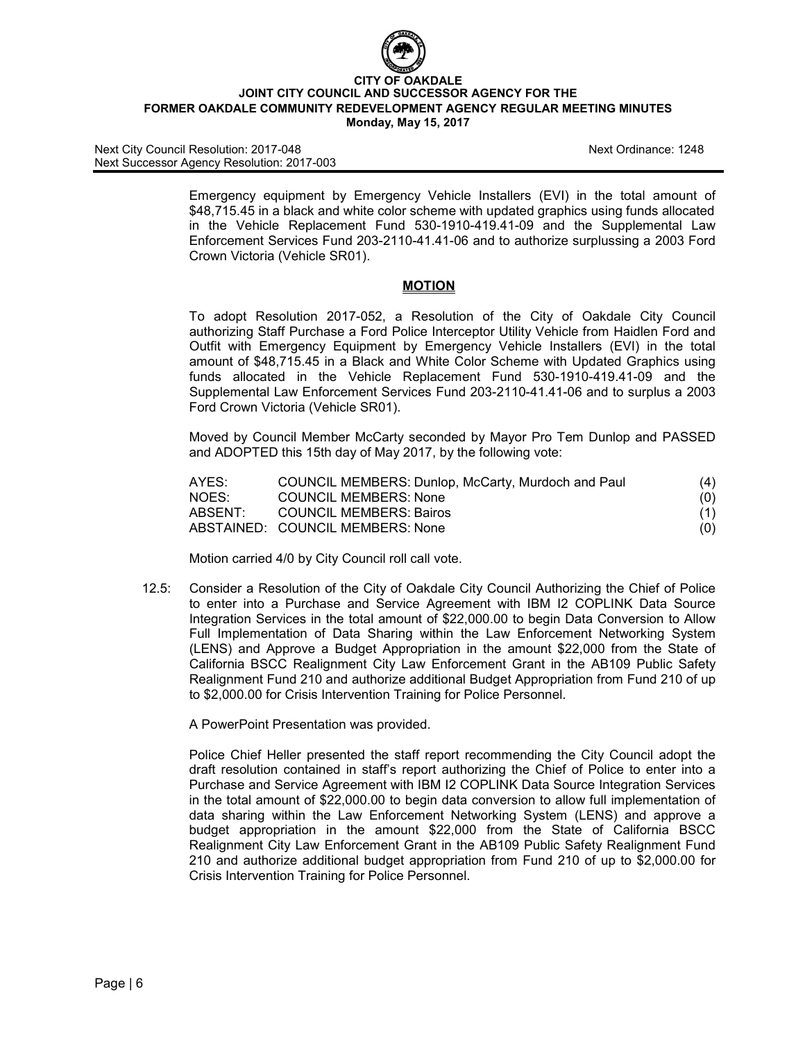

#### **CITY OF OAKDALE JOINT CITY COUNCIL AND SUCCESSOR AGENCY FOR THE FORMER OAKDALE COMMUNITY REDEVELOPMENT AGENCY REGULAR MEETING MINUTES Monday, May 15, 2017**

Next City Council Resolution: 2017-048 Next Ordinance: 1248 Next Successor Agency Resolution: 2017-003

Emergency equipment by Emergency Vehicle Installers (EVI) in the total amount of \$48,715.45 in a black and white color scheme with updated graphics using funds allocated in the Vehicle Replacement Fund 530-1910-419.41-09 and the Supplemental Law Enforcement Services Fund 203-2110-41.41-06 and to authorize surplussing a 2003 Ford Crown Victoria (Vehicle SR01).

#### **MOTION**

To adopt Resolution 2017-052, a Resolution of the City of Oakdale City Council authorizing Staff Purchase a Ford Police Interceptor Utility Vehicle from Haidlen Ford and Outfit with Emergency Equipment by Emergency Vehicle Installers (EVI) in the total amount of \$48,715.45 in a Black and White Color Scheme with Updated Graphics using funds allocated in the Vehicle Replacement Fund 530-1910-419.41-09 and the Supplemental Law Enforcement Services Fund 203-2110-41.41-06 and to surplus a 2003 Ford Crown Victoria (Vehicle SR01).

Moved by Council Member McCarty seconded by Mayor Pro Tem Dunlop and PASSED and ADOPTED this 15th day of May 2017, by the following vote:

| AYES:   | COUNCIL MEMBERS: Dunlop, McCarty, Murdoch and Paul | (4) |
|---------|----------------------------------------------------|-----|
| NOES:   | <b>COUNCIL MEMBERS: None</b>                       | (O) |
| ABSENT: | COUNCIL MEMBERS: Bairos                            | (1) |
|         | ABSTAINED: COUNCIL MEMBERS: None                   | (O) |

Motion carried 4/0 by City Council roll call vote.

12.5: Consider a Resolution of the City of Oakdale City Council Authorizing the Chief of Police to enter into a Purchase and Service Agreement with IBM I2 COPLINK Data Source Integration Services in the total amount of \$22,000.00 to begin Data Conversion to Allow Full Implementation of Data Sharing within the Law Enforcement Networking System (LENS) and Approve a Budget Appropriation in the amount \$22,000 from the State of California BSCC Realignment City Law Enforcement Grant in the AB109 Public Safety Realignment Fund 210 and authorize additional Budget Appropriation from Fund 210 of up to \$2,000.00 for Crisis Intervention Training for Police Personnel.

A PowerPoint Presentation was provided.

Police Chief Heller presented the staff report recommending the City Council adopt the draft resolution contained in staff's report authorizing the Chief of Police to enter into a Purchase and Service Agreement with IBM I2 COPLINK Data Source Integration Services in the total amount of \$22,000.00 to begin data conversion to allow full implementation of data sharing within the Law Enforcement Networking System (LENS) and approve a budget appropriation in the amount \$22,000 from the State of California BSCC Realignment City Law Enforcement Grant in the AB109 Public Safety Realignment Fund 210 and authorize additional budget appropriation from Fund 210 of up to \$2,000.00 for Crisis Intervention Training for Police Personnel.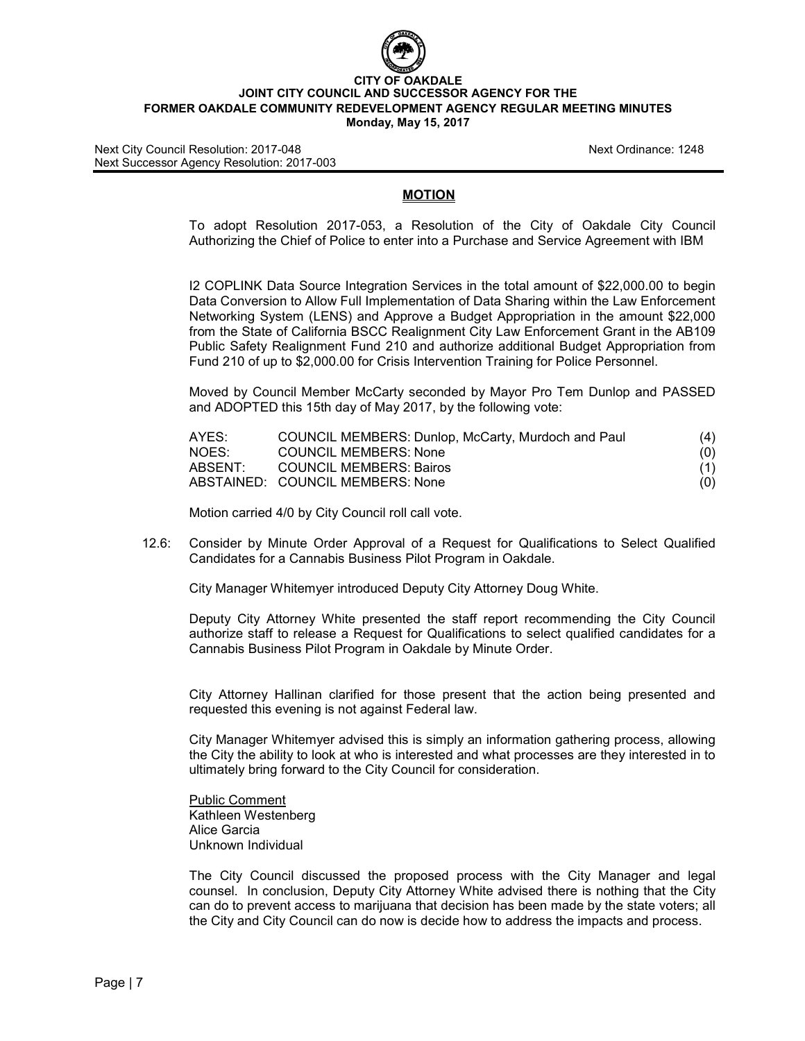

#### **CITY OF OAKDALE JOINT CITY COUNCIL AND SUCCESSOR AGENCY FOR THE FORMER OAKDALE COMMUNITY REDEVELOPMENT AGENCY REGULAR MEETING MINUTES Monday, May 15, 2017**

### **MOTION**

To adopt Resolution 2017-053, a Resolution of the City of Oakdale City Council Authorizing the Chief of Police to enter into a Purchase and Service Agreement with IBM

I2 COPLINK Data Source Integration Services in the total amount of \$22,000.00 to begin Data Conversion to Allow Full Implementation of Data Sharing within the Law Enforcement Networking System (LENS) and Approve a Budget Appropriation in the amount \$22,000 from the State of California BSCC Realignment City Law Enforcement Grant in the AB109 Public Safety Realignment Fund 210 and authorize additional Budget Appropriation from Fund 210 of up to \$2,000.00 for Crisis Intervention Training for Police Personnel.

Moved by Council Member McCarty seconded by Mayor Pro Tem Dunlop and PASSED and ADOPTED this 15th day of May 2017, by the following vote:

| AYES:   | COUNCIL MEMBERS: Dunlop, McCarty, Murdoch and Paul | (4) |
|---------|----------------------------------------------------|-----|
| NOES:   | <b>COUNCIL MEMBERS: None</b>                       | (0) |
| ABSENT: | <b>COUNCIL MEMBERS: Bairos</b>                     | (1) |
|         | ABSTAINED: COUNCIL MEMBERS: None                   | (0) |

Motion carried 4/0 by City Council roll call vote.

12.6: Consider by Minute Order Approval of a Request for Qualifications to Select Qualified Candidates for a Cannabis Business Pilot Program in Oakdale.

City Manager Whitemyer introduced Deputy City Attorney Doug White.

Deputy City Attorney White presented the staff report recommending the City Council authorize staff to release a Request for Qualifications to select qualified candidates for a Cannabis Business Pilot Program in Oakdale by Minute Order.

City Attorney Hallinan clarified for those present that the action being presented and requested this evening is not against Federal law.

City Manager Whitemyer advised this is simply an information gathering process, allowing the City the ability to look at who is interested and what processes are they interested in to ultimately bring forward to the City Council for consideration.

Public Comment Kathleen Westenberg Alice Garcia Unknown Individual

The City Council discussed the proposed process with the City Manager and legal counsel. In conclusion, Deputy City Attorney White advised there is nothing that the City can do to prevent access to marijuana that decision has been made by the state voters; all the City and City Council can do now is decide how to address the impacts and process.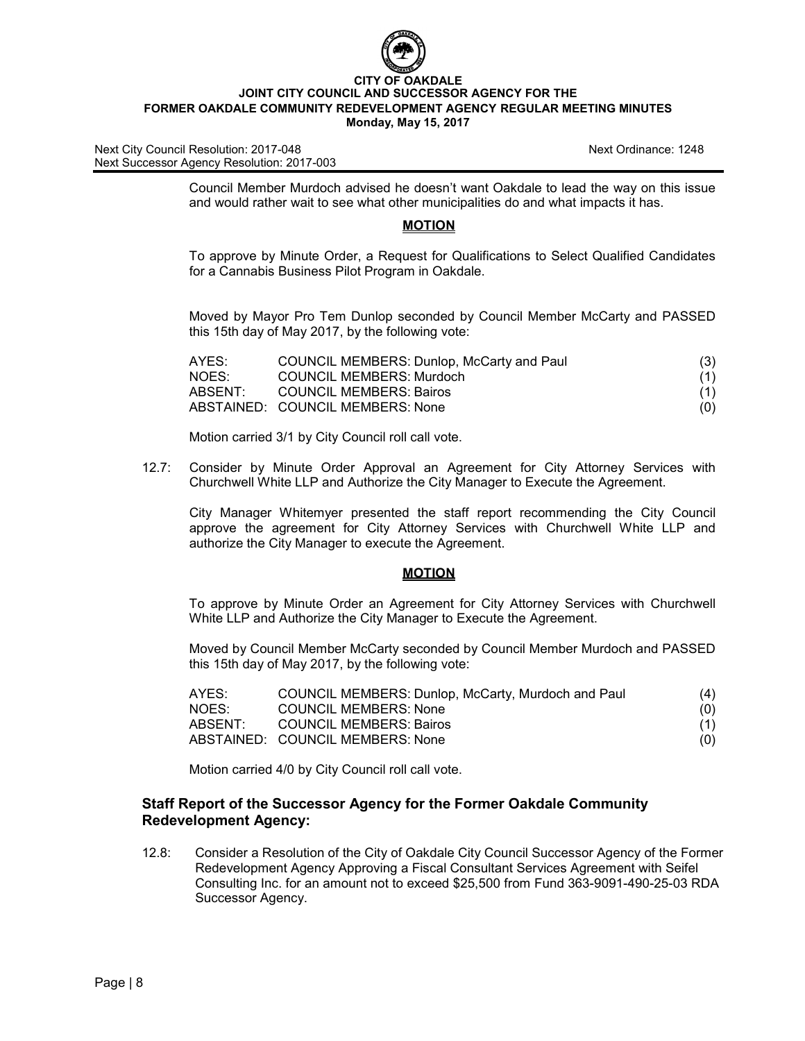

Next City Council Resolution: 2017-048 Next Ordinance: 1248 Next Successor Agency Resolution: 2017-003

Council Member Murdoch advised he doesn't want Oakdale to lead the way on this issue and would rather wait to see what other municipalities do and what impacts it has.

## **MOTION**

To approve by Minute Order, a Request for Qualifications to Select Qualified Candidates for a Cannabis Business Pilot Program in Oakdale.

Moved by Mayor Pro Tem Dunlop seconded by Council Member McCarty and PASSED this 15th day of May 2017, by the following vote:

| AYES:   | COUNCIL MEMBERS: Dunlop, McCarty and Paul | (3) |
|---------|-------------------------------------------|-----|
| NOES:   | <b>COUNCIL MEMBERS: Murdoch</b>           | (1) |
| ABSENT: | <b>COUNCIL MEMBERS: Bairos</b>            | (1) |
|         | ABSTAINED: COUNCIL MEMBERS: None          | (O) |

Motion carried 3/1 by City Council roll call vote.

12.7: Consider by Minute Order Approval an Agreement for City Attorney Services with Churchwell White LLP and Authorize the City Manager to Execute the Agreement.

City Manager Whitemyer presented the staff report recommending the City Council approve the agreement for City Attorney Services with Churchwell White LLP and authorize the City Manager to execute the Agreement.

#### **MOTION**

To approve by Minute Order an Agreement for City Attorney Services with Churchwell White LLP and Authorize the City Manager to Execute the Agreement.

Moved by Council Member McCarty seconded by Council Member Murdoch and PASSED this 15th day of May 2017, by the following vote:

| AYES:   | COUNCIL MEMBERS: Dunlop, McCarty, Murdoch and Paul | (4) |
|---------|----------------------------------------------------|-----|
| NOES:   | <b>COUNCIL MEMBERS: None</b>                       | (0) |
| ABSENT: | <b>COUNCIL MEMBERS: Bairos</b>                     | (1) |
|         | ABSTAINED: COUNCIL MEMBERS: None                   | (O) |

Motion carried 4/0 by City Council roll call vote.

# **Staff Report of the Successor Agency for the Former Oakdale Community Redevelopment Agency:**

12.8: Consider a Resolution of the City of Oakdale City Council Successor Agency of the Former Redevelopment Agency Approving a Fiscal Consultant Services Agreement with Seifel Consulting Inc. for an amount not to exceed \$25,500 from Fund 363-9091-490-25-03 RDA Successor Agency.